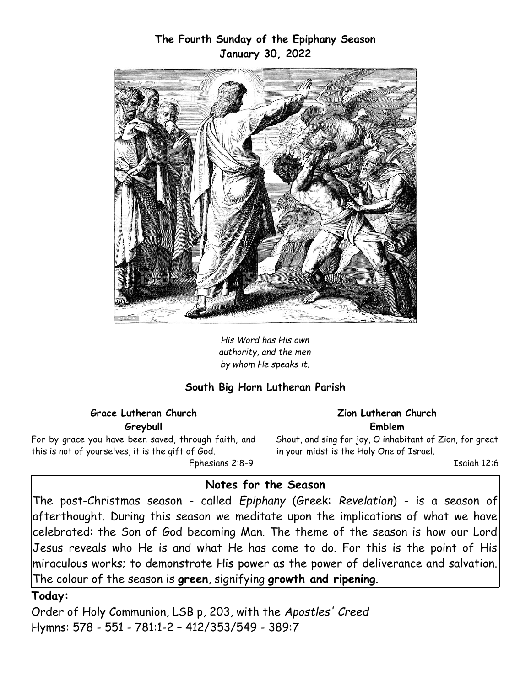### **The Fourth Sunday of the Epiphany Season January 30, 2022**



*His Word has His own authority, and the men by whom He speaks it.*

### **South Big Horn Lutheran Parish**

**Grace Lutheran Church Greybull**

For by grace you have been saved, through faith, and this is not of yourselves, it is the gift of God.

Ephesians 2:8-9

#### **Zion Lutheran Church Emblem**

Shout, and sing for joy, O inhabitant of Zion, for great in your midst is the Holy One of Israel.

Isaiah 12:6

# **Notes for the Season**

The post-Christmas season - called *Epiphany* (Greek: *Revelation*) - is a season of afterthought. During this season we meditate upon the implications of what we have celebrated: the Son of God becoming Man. The theme of the season is how our Lord Jesus reveals who He is and what He has come to do. For this is the point of His miraculous works; to demonstrate His power as the power of deliverance and salvation. The colour of the season is **green**, signifying **growth and ripening**.

### **Today:**

Order of Holy Communion, LSB p, 203, with the *Apostles' Creed* Hymns: 578 - 551 - 781:1-2 – 412/353/549 - 389:7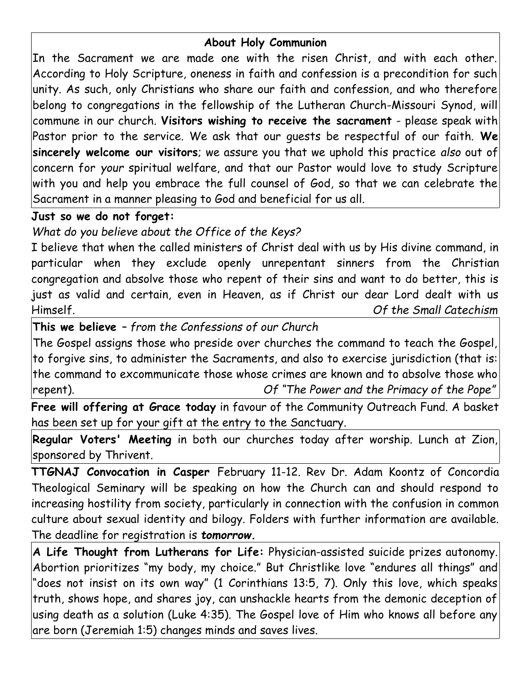### **About Holy Communion**

In the Sacrament we are made one with the risen Christ, and with each other. According to Holy Scripture, oneness in faith and confession is a precondition for such unity. As such, only Christians who share our faith and confession, and who therefore belong to congregations in the fellowship of the Lutheran Church-Missouri Synod, will commune in our church. **Visitors wishing to receive the sacrament** - please speak with Pastor prior to the service. We ask that our guests be respectful of our faith. **We sincerely welcome our visitors**; we assure you that we uphold this practice *also* out of concern for *your* spiritual welfare, and that our Pastor would love to study Scripture with you and help you embrace the full counsel of God, so that we can celebrate the Sacrament in a manner pleasing to God and beneficial for us all.

## **Just so we do not forget:**

*What do you believe about the Office of the Keys?*

I believe that when the called ministers of Christ deal with us by His divine command, in particular when they exclude openly unrepentant sinners from the Christian congregation and absolve those who repent of their sins and want to do better, this is just as valid and certain, even in Heaven, as if Christ our dear Lord dealt with us Himself. *Of the Small Catechism*

**This we believe** *– from the Confessions of our Church*

The Gospel assigns those who preside over churches the command to teach the Gospel, to forgive sins, to administer the Sacraments, and also to exercise jurisdiction (that is: the command to excommunicate those whose crimes are known and to absolve those who repent). *Of "The Power and the Primacy of the Pope"*

**Free will offering at Grace today** in favour of the Community Outreach Fund. A basket has been set up for your gift at the entry to the Sanctuary.

**Regular Voters' Meeting** in both our churches today after worship. Lunch at Zion, sponsored by Thrivent.

**TTGNAJ Convocation in Casper** February 11-12. Rev Dr. Adam Koontz of Concordia Theological Seminary will be speaking on how the Church can and should respond to increasing hostility from society, particularly in connection with the confusion in common culture about sexual identity and bilogy. Folders with further information are available. The deadline for registration is *tomorrow.*

**A Life Thought from Lutherans for Life:** Physician-assisted suicide prizes autonomy. Abortion prioritizes "my body, my choice." But Christlike love "endures all things" and "does not insist on its own way" (1 Corinthians 13:5, 7). Only this love, which speaks truth, shows hope, and shares joy, can unshackle hearts from the demonic deception of using death as a solution (Luke 4:35). The Gospel love of Him who knows all before any are born (Jeremiah 1:5) changes minds and saves lives.